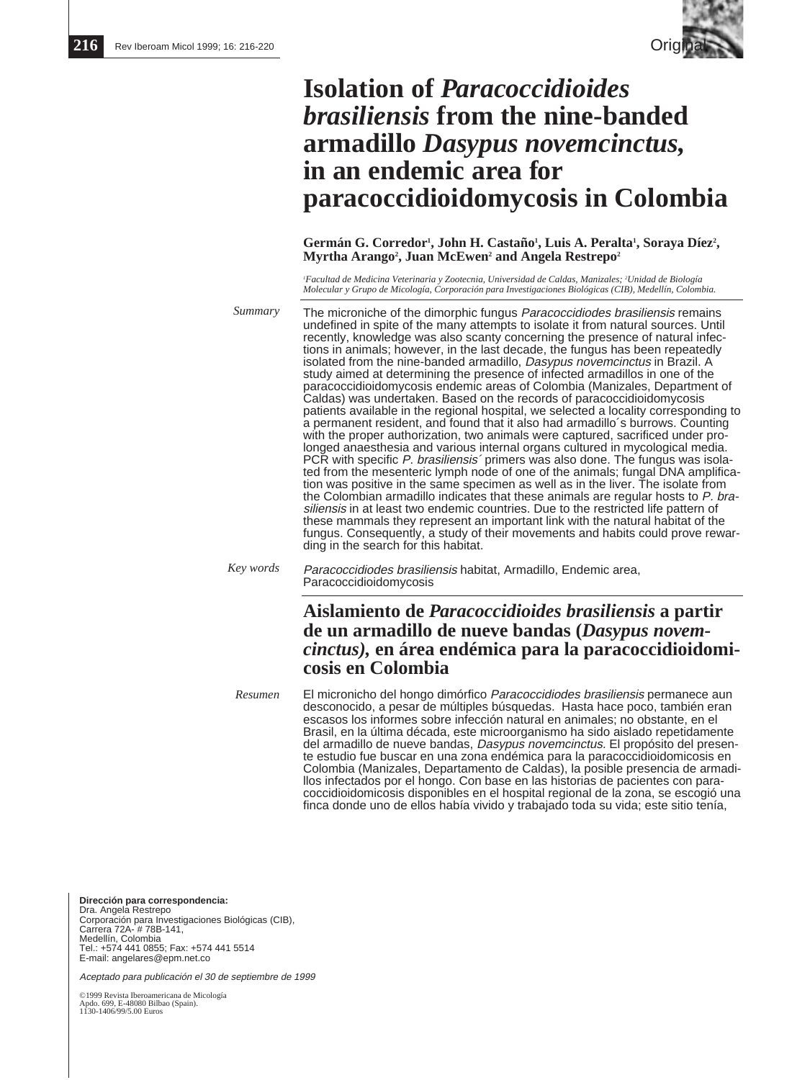

# **Isolation of** *Paracoccidioides brasiliensis* **from the nine-banded armadillo** *Dasypus novemcinctus,* **in an endemic area for paracoccidioidomycosis in Colombia**

Germán G. Corredor<sup>1</sup>, John H. Castaño<sup>1</sup>, Luis A. Peralta<sup>1</sup>, Soraya Díez<sup>2</sup>, **Myrtha Arango2 , Juan McEwen2 and Angela Restrepo2**

*1 Facultad de Medicina Veterinaria y Zootecnia, Universidad de Caldas, Manizales; 2 Unidad de Biología Molecular y Grupo de Micología, Corporación para Investigaciones Biológicas (CIB), Medellín, Colombia.*

*Summary*

The microniche of the dimorphic fungus *Paracoccidiodes brasiliensis* remains undefined in spite of the many attempts to isolate it from natural sources. Until recently, knowledge was also scanty concerning the presence of natural infections in animals; however, in the last decade, the fungus has been repeatedly isolated from the nine-banded armadillo, *Dasypus novemcinctus* in Brazil. A study aimed at determining the presence of infected armadillos in one of the paracoccidioidomycosis endemic areas of Colombia (Manizales, Department of Caldas) was undertaken. Based on the records of paracoccidioidomycosis patients available in the regional hospital, we selected a locality corresponding to a permanent resident, and found that it also had armadillo´s burrows. Counting with the proper authorization, two animals were captured, sacrificed under prolonged anaesthesia and various internal organs cultured in mycological media. PCR with specific P. brasiliensis' primers was also done. The fungus was isolated from the mesenteric lymph node of one of the animals; fungal DNA amplification was positive in the same specimen as well as in the liver. The isolate from the Colombian armadillo indicates that these animals are regular hosts to P. brasiliensis in at least two endemic countries. Due to the restricted life pattern of these mammals they represent an important link with the natural habitat of the fungus. Consequently, a study of their movements and habits could prove rewarding in the search for this habitat.

Paracoccidiodes brasiliensis habitat, Armadillo, Endemic area, Paracoccidioidomycosis *Key words*

# **Aislamiento de** *Paracoccidioides brasiliensis* **a partir de un armadillo de nueve bandas (***Dasypus novemcinctus),* **en área endémica para la paracoccidioidomicosis en Colombia**

El micronicho del hongo dimórfico Paracoccidiodes brasiliensis permanece aun desconocido, a pesar de múltiples búsquedas. Hasta hace poco, también eran escasos los informes sobre infección natural en animales; no obstante, en el Brasil, en la última década, este microorganismo ha sido aislado repetidamente del armadillo de nueve bandas, Dasypus novemcinctus. El propósito del presente estudio fue buscar en una zona endémica para la paracoccidioidomicosis en Colombia (Manizales, Departamento de Caldas), la posible presencia de armadillos infectados por el hongo. Con base en las historias de pacientes con paracoccidioidomicosis disponibles en el hospital regional de la zona, se escogió una finca donde uno de ellos había vivido y trabajado toda su vida; este sitio tenía, *Resumen*

**Dirección para correspondencia:**  Dra. Angela Restrepo Corporación para Investigaciones Biológicas (CIB), Carrera 72A- # 78B-141, Medellín, Colombia Tel.: +574 441 0855; Fax: +574 441 5514 E-mail: angelares@epm.net.co

Aceptado para publicación el 30 de septiembre de 1999

©1999 Revista Iberoamericana de Micología Apdo. 699, E-48080 Bilbao (Spain). 1130-1406/99/5.00 Euros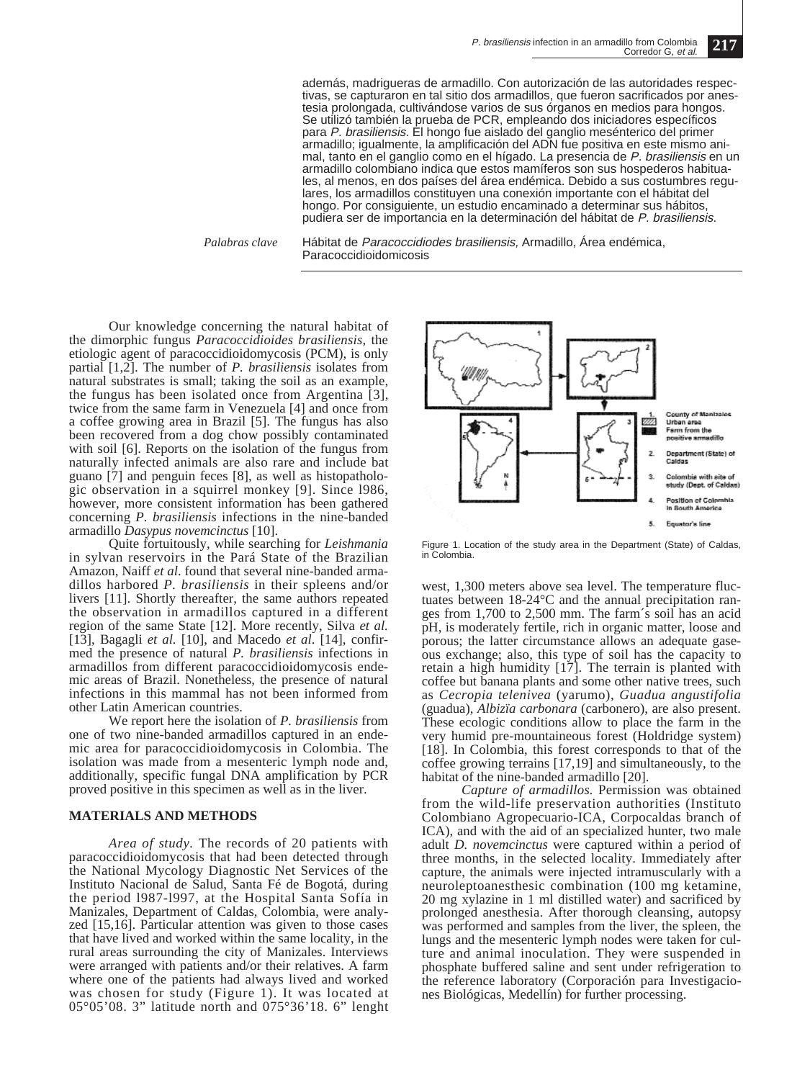además, madrigueras de armadillo. Con autorización de las autoridades respectivas, se capturaron en tal sitio dos armadillos, que fueron sacrificados por anestesia prolongada, cultivándose varios de sus órganos en medios para hongos. Se utilizó también la prueba de PCR, empleando dos iniciadores específicos para P. brasiliensis. El hongo fue aislado del ganglio mesénterico del primer armadillo; igualmente, la amplificación del ADN fue positiva en este mismo animal, tanto en el ganglio como en el hígado. La presencia de P. brasiliensis en un armadillo colombiano indica que estos mamíferos son sus hospederos habituales, al menos, en dos países del área endémica. Debido a sus costumbres regulares, los armadillos constituyen una conexión importante con el hábitat del hongo. Por consiguiente, un estudio encaminado a determinar sus hábitos, pudiera ser de importancia en la determinación del hábitat de P. brasiliensis.

*Palabras clave*

Hábitat de Paracoccidiodes brasiliensis, Armadillo, Área endémica, Paracoccidioidomicosis

Our knowledge concerning the natural habitat of the dimorphic fungus *Paracoccidioides brasiliensis,* the etiologic agent of paracoccidioidomycosis (PCM), is only partial [1,2]. The number of *P. brasiliensis* isolates from natural substrates is small; taking the soil as an example, the fungus has been isolated once from Argentina [3], twice from the same farm in Venezuela [4] and once from a coffee growing area in Brazil [5]. The fungus has also been recovered from a dog chow possibly contaminated with soil [6]. Reports on the isolation of the fungus from naturally infected animals are also rare and include bat guano [7] and penguin feces [8], as well as histopathologic observation in a squirrel monkey [9]. Since l986, however, more consistent information has been gathered concerning *P. brasiliensis* infections in the nine-banded armadillo *Dasypus novemcinctus* [10].

Quite fortuitously, while searching for *Leishmania* in sylvan reservoirs in the Pará State of the Brazilian Amazon, Naiff *et al*. found that several nine-banded armadillos harbored *P. brasiliensis* in their spleens and/or livers [11]. Shortly thereafter, the same authors repeated the observation in armadillos captured in a different region of the same State [12]. More recently, Silva *et al.* [13], Bagagli *et al.* [10], and Macedo *et al*. [14], confirmed the presence of natural *P. brasiliensis* infections in armadillos from different paracoccidioidomycosis endemic areas of Brazil. Nonetheless, the presence of natural infections in this mammal has not been informed from other Latin American countries.

We report here the isolation of *P. brasiliensis* from one of two nine-banded armadillos captured in an endemic area for paracoccidioidomycosis in Colombia. The isolation was made from a mesenteric lymph node and, additionally, specific fungal DNA amplification by PCR proved positive in this specimen as well as in the liver.

#### **MATERIALS AND METHODS**

*Area of study.* The records of 20 patients with paracoccidioidomycosis that had been detected through the National Mycology Diagnostic Net Services of the Instituto Nacional de Salud, Santa Fé de Bogotá, during the period l987-l997, at the Hospital Santa Sofía in Manizales, Department of Caldas, Colombia, were analyzed [15,16]. Particular attention was given to those cases that have lived and worked within the same locality, in the rural areas surrounding the city of Manizales. Interviews were arranged with patients and/or their relatives. A farm where one of the patients had always lived and worked was chosen for study (Figure 1). It was located at 05°05'08. 3" latitude north and 075°36'18. 6" lenght



Figure 1. Location of the study area in the Department (State) of Caldas, in Colombia.

west, 1,300 meters above sea level. The temperature fluctuates between 18-24°C and the annual precipitation ranges from 1,700 to 2,500 mm. The farm´s soil has an acid pH, is moderately fertile, rich in organic matter, loose and porous; the latter circumstance allows an adequate gaseous exchange; also, this type of soil has the capacity to retain a high humidity [17]. The terrain is planted with coffee but banana plants and some other native trees, such as *Cecropia telenivea* (yarumo), *Guadua angustifolia* (guadua), *Albizïa carbonara* (carbonero), are also present. These ecologic conditions allow to place the farm in the very humid pre-mountaineous forest (Holdridge system) [18]. In Colombia, this forest corresponds to that of the coffee growing terrains [17,19] and simultaneously, to the habitat of the nine-banded armadillo [20].

*Capture of armadillos.* Permission was obtained from the wild-life preservation authorities (Instituto Colombiano Agropecuario-ICA, Corpocaldas branch of ICA), and with the aid of an specialized hunter, two male adult *D. novemcinctus* were captured within a period of three months, in the selected locality. Immediately after capture, the animals were injected intramuscularly with a neuroleptoanesthesic combination (100 mg ketamine, 20 mg xylazine in 1 ml distilled water) and sacrificed by prolonged anesthesia. After thorough cleansing, autopsy was performed and samples from the liver, the spleen, the lungs and the mesenteric lymph nodes were taken for culture and animal inoculation. They were suspended in phosphate buffered saline and sent under refrigeration to the reference laboratory (Corporación para Investigaciones Biológicas, Medellín) for further processing.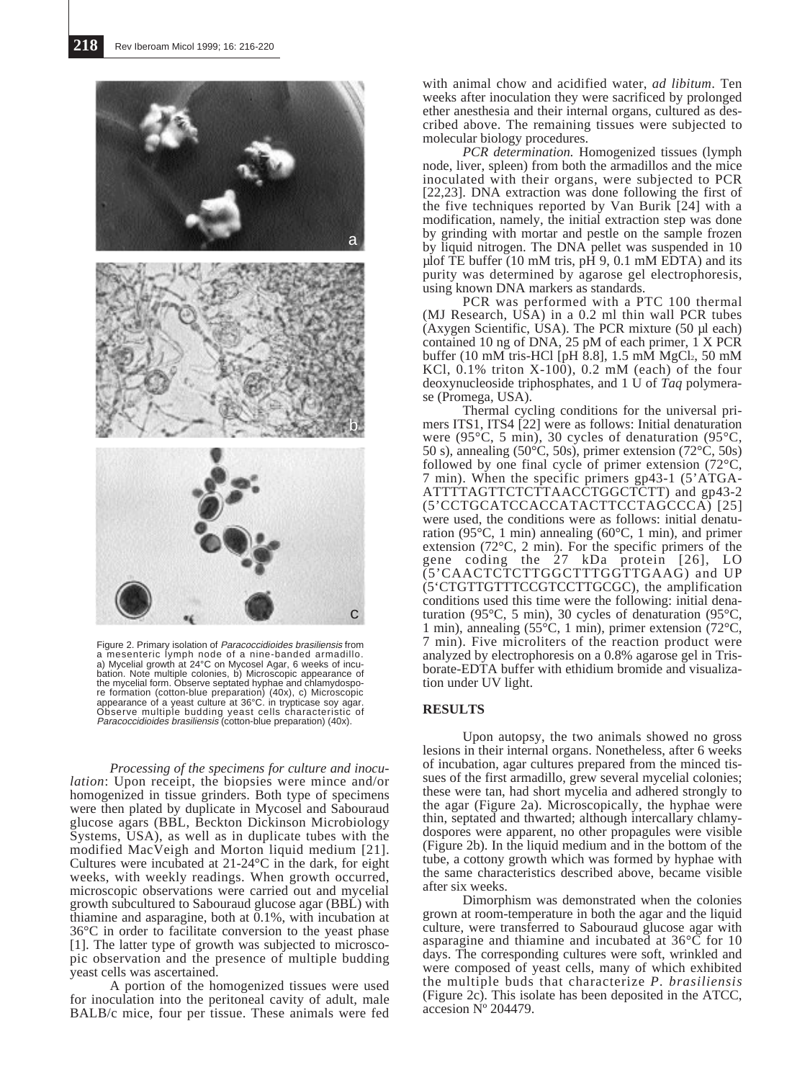

Figure 2. Primary isolation of Paracoccidioides brasiliensis from a mesenteric lymph node of a nine-banded armadillo. a) Mycelial growth at 24°C on Mycosel Agar, 6 weeks of incu-bation. Note multiple colonies, b) Microscopic appearance of the mycelial form. Observe septated hyphae and chlamydospore formation (cotton-blue preparation) (40x), c) Microscopic appearance of a yeast culture at 36°C. in trypticase soy agar. Observe multiple budding yeast cells characteristic of Paracoccidioides brasiliensis (cotton-blue preparation) (40x).

*Processing of the specimens for culture and inoculation*: Upon receipt, the biopsies were mince and/or homogenized in tissue grinders. Both type of specimens were then plated by duplicate in Mycosel and Sabouraud glucose agars (BBL, Beckton Dickinson Microbiology Systems, USA), as well as in duplicate tubes with the modified MacVeigh and Morton liquid medium [21]. Cultures were incubated at 21-24°C in the dark, for eight weeks, with weekly readings. When growth occurred, microscopic observations were carried out and mycelial growth subcultured to Sabouraud glucose agar (BBL) with thiamine and asparagine, both at  $0.1\%$ , with incubation at 36°C in order to facilitate conversion to the yeast phase [1]. The latter type of growth was subjected to microscopic observation and the presence of multiple budding yeast cells was ascertained.

A portion of the homogenized tissues were used for inoculation into the peritoneal cavity of adult, male BALB/c mice, four per tissue. These animals were fed

with animal chow and acidified water, *ad libitum*. Ten weeks after inoculation they were sacrificed by prolonged ether anesthesia and their internal organs, cultured as described above. The remaining tissues were subjected to molecular biology procedures.

*PCR determination.* Homogenized tissues (lymph node, liver, spleen) from both the armadillos and the mice inoculated with their organs, were subjected to PCR [22,23]. DNA extraction was done following the first of the five techniques reported by Van Burik [24] with a modification, namely, the initial extraction step was done by grinding with mortar and pestle on the sample frozen by liquid nitrogen. The DNA pellet was suspended in 10 µlof TE buffer (10 mM tris, pH 9, 0.1 mM EDTA) and its purity was determined by agarose gel electrophoresis, using known DNA markers as standards.

PCR was performed with a PTC 100 thermal (MJ Research, USA) in a 0.2 ml thin wall PCR tubes (Axygen Scientific, USA). The PCR mixture (50 µl each) contained 10 ng of DNA, 25 pM of each primer, 1 X PCR buffer (10 mM tris-HCl [pH  $\overline{8.8}$ ], 1.5 mM MgCl<sub>2</sub>, 50 mM KCl,  $0.1\%$  triton X-100),  $0.2 \text{ mM}$  (each) of the four deoxynucleoside triphosphates, and 1 U of *Taq* polymerase (Promega, USA).

Thermal cycling conditions for the universal primers ITS1, ITS4 [22] were as follows: Initial denaturation were (95°C, 5 min), 30 cycles of denaturation (95°C, 50 s), annealing  $(50^{\circ}\text{C}, 50\text{s})$ , primer extension  $(72^{\circ}\text{C}, 50\text{s})$ followed by one final cycle of primer extension (72°C, 7 min). When the specific primers gp43-1 (5'ATGA-ATTTTAGTTCTCTTAACCTGGCTCTT) and gp43-2 (5'CCTGCATCCACCATACTTCCTAGCCCA) [25] were used, the conditions were as follows: initial denaturation (95°C, 1 min) annealing (60°C, 1 min), and primer extension (72°C, 2 min). For the specific primers of the gene coding the 27 kDa protein [26], LO (5'CAACTCTCTTGGCTTTGGTTGAAG) and UP (5'CTGTTGTTTCCGTCCTTGCGC), the amplification conditions used this time were the following: initial denaturation (95°C, 5 min), 30 cycles of denaturation (95°C, 1 min), annealing (55°C, 1 min), primer extension (72°C, 7 min). Five microliters of the reaction product were analyzed by electrophoresis on a 0.8% agarose gel in Trisborate-EDTA buffer with ethidium bromide and visualization under UV light.

## **RESULTS**

Upon autopsy, the two animals showed no gross lesions in their internal organs. Nonetheless, after 6 weeks of incubation, agar cultures prepared from the minced tissues of the first armadillo, grew several mycelial colonies; these were tan, had short mycelia and adhered strongly to the agar (Figure 2a). Microscopically, the hyphae were thin, septated and thwarted; although intercallary chlamydospores were apparent, no other propagules were visible (Figure 2b). In the liquid medium and in the bottom of the tube, a cottony growth which was formed by hyphae with the same characteristics described above, became visible after six weeks.

Dimorphism was demonstrated when the colonies grown at room-temperature in both the agar and the liquid culture, were transferred to Sabouraud glucose agar with asparagine and thiamine and incubated at  $36^{\circ}$ C for 10 days. The corresponding cultures were soft, wrinkled and were composed of yeast cells, many of which exhibited the multiple buds that characterize *P. brasiliensis* (Figure 2c). This isolate has been deposited in the ATCC, accesion Nº 204479.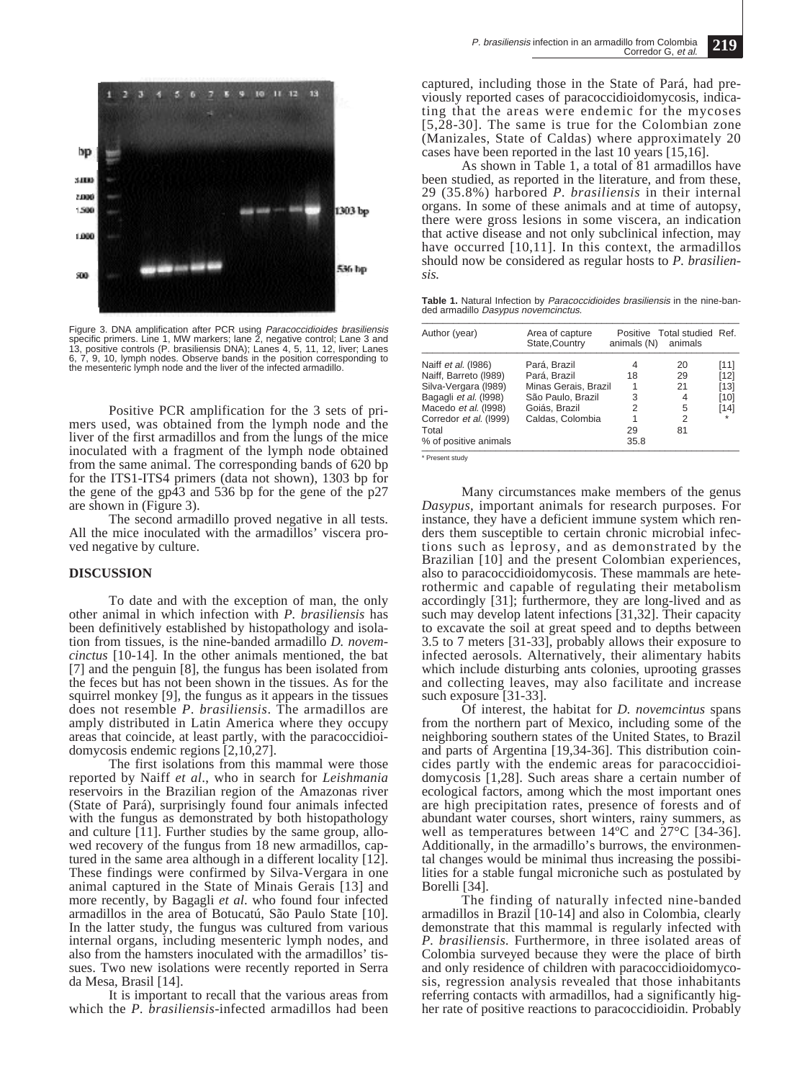

Figure 3. DNA amplification after PCR using *Paracoccidioides brasiliensis*<br>specific primers. Line 1, MW markers; Iane 2, negative control; Lane 3 and<br>13, positive controls (P. brasiliensis DNA); Lanes 4, 5, 11, 12, liver; 6, 7, 9, 10, lymph nodes. Observe bands in the position corresponding to the mesenteric lymph node and the liver of the infected armadillo.

Positive PCR amplification for the 3 sets of primers used, was obtained from the lymph node and the liver of the first armadillos and from the lungs of the mice inoculated with a fragment of the lymph node obtained from the same animal. The corresponding bands of 620 bp for the ITS1-ITS4 primers (data not shown), 1303 bp for the gene of the gp43 and 536 bp for the gene of the p27 are shown in (Figure 3).

The second armadillo proved negative in all tests. All the mice inoculated with the armadillos' viscera proved negative by culture.

#### **DISCUSSION**

To date and with the exception of man, the only other animal in which infection with *P. brasiliensis* has been definitively established by histopathology and isolation from tissues, is the nine-banded armadillo *D. novemcinctus* [10-14]. In the other animals mentioned, the bat [7] and the penguin [8], the fungus has been isolated from the feces but has not been shown in the tissues. As for the squirrel monkey [9], the fungus as it appears in the tissues does not resemble *P*. *brasiliensis*. The armadillos are amply distributed in Latin America where they occupy areas that coincide, at least partly, with the paracoccidioidomycosis endemic regions [2,10,27].

The first isolations from this mammal were those reported by Naiff *et al*., who in search for *Leishmania* reservoirs in the Brazilian region of the Amazonas river (State of Pará), surprisingly found four animals infected with the fungus as demonstrated by both histopathology and culture [11]. Further studies by the same group, allowed recovery of the fungus from 18 new armadillos, captured in the same area although in a different locality [12]. These findings were confirmed by Silva-Vergara in one animal captured in the State of Minais Gerais [13] and more recently, by Bagagli *et al*. who found four infected armadillos in the area of Botucatú, São Paulo State [10]. In the latter study, the fungus was cultured from various internal organs, including mesenteric lymph nodes, and also from the hamsters inoculated with the armadillos' tissues. Two new isolations were recently reported in Serra da Mesa, Brasil [14].

It is important to recall that the various areas from which the *P. brasiliensis-*infected armadillos had been

captured, including those in the State of Pará, had previously reported cases of paracoccidioidomycosis, indicating that the areas were endemic for the mycoses [5,28-30]. The same is true for the Colombian zone (Manizales, State of Caldas) where approximately 20 cases have been reported in the last 10 years [15,16].

As shown in Table 1, a total of 81 armadillos have been studied, as reported in the literature, and from these, 29 (35.8%) harbored *P. brasiliensis* in their internal organs. In some of these animals and at time of autopsy, there were gross lesions in some viscera, an indication that active disease and not only subclinical infection, may have occurred [10,11]. In this context, the armadillos should now be considered as regular hosts to *P. brasiliensis.*

**Table 1.** Natural Infection by Paracoccidioides brasiliensis in the nine-banded armadillo Dasypus novemcinctus.

| Author (year)          | Area of capture<br>State, Country | animals (N) animals | Positive Total studied Ref. |         |
|------------------------|-----------------------------------|---------------------|-----------------------------|---------|
| Naiff et al. (1986)    | Pará, Brazil                      | 4                   | 20                          | [11]    |
| Naiff, Barreto (1989)  | Pará, Brazil                      | 18                  | 29                          | $[12]$  |
| Silva-Vergara (1989)   | Minas Gerais, Brazil              |                     | 21                          | [13]    |
| Bagagli et al. (1998)  | São Paulo, Brazil                 | 3                   | 4                           | [10]    |
| Macedo et al. (1998)   | Goiás, Brazil                     | 2                   | 5                           | $[14]$  |
| Corredor et al. (1999) | Caldas, Colombia                  |                     | $\overline{2}$              | $\star$ |
| Total                  |                                   | 29                  | 81                          |         |
| % of positive animals  |                                   | 35.8                |                             |         |

\* Present study

Many circumstances make members of the genus *Dasypus*, important animals for research purposes. For instance, they have a deficient immune system which renders them susceptible to certain chronic microbial infections such as leprosy, and as demonstrated by the Brazilian [10] and the present Colombian experiences, also to paracoccidioidomycosis. These mammals are heterothermic and capable of regulating their metabolism accordingly [31]; furthermore, they are long-lived and as such may develop latent infections [31,32]. Their capacity to excavate the soil at great speed and to depths between 3.5 to 7 meters [31-33], probably allows their exposure to infected aerosols. Alternatively, their alimentary habits which include disturbing ants colonies, uprooting grasses and collecting leaves, may also facilitate and increase such exposure [31-33].

Of interest, the habitat for *D. novemcintus* spans from the northern part of Mexico, including some of the neighboring southern states of the United States, to Brazil and parts of Argentina [19,34-36]. This distribution coincides partly with the endemic areas for paracoccidioidomycosis [1,28]. Such areas share a certain number of ecological factors, among which the most important ones are high precipitation rates, presence of forests and of abundant water courses, short winters, rainy summers, as well as temperatures between  $14^{\circ}$ C and  $27^{\circ}$ C [34-36]. Additionally, in the armadillo's burrows, the environmental changes would be minimal thus increasing the possibilities for a stable fungal microniche such as postulated by Borelli [34].

The finding of naturally infected nine-banded armadillos in Brazil [10-14] and also in Colombia, clearly demonstrate that this mammal is regularly infected with *P. brasiliensis.* Furthermore, in three isolated areas of Colombia surveyed because they were the place of birth and only residence of children with paracoccidioidomycosis, regression analysis revealed that those inhabitants referring contacts with armadillos, had a significantly higher rate of positive reactions to paracoccidioidin. Probably